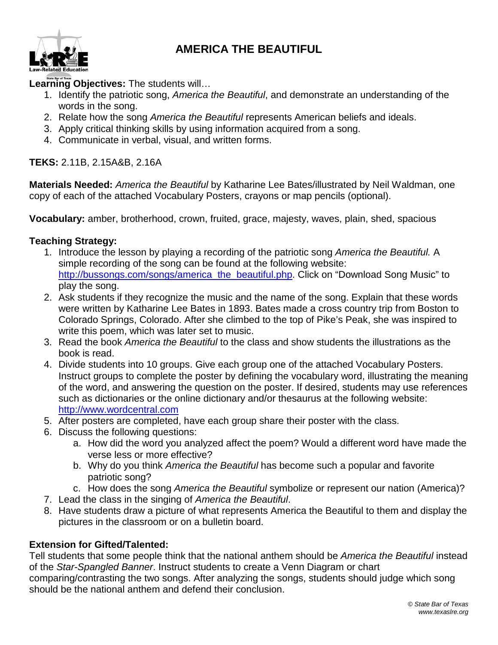### **AMERICA THE BEAUTIFUL**



#### **Learning Objectives:** The students will…

- 1. Identify the patriotic song, *America the Beautiful*, and demonstrate an understanding of the words in the song.
- 2. Relate how the song *America the Beautiful* represents American beliefs and ideals.
- 3. Apply critical thinking skills by using information acquired from a song.
- 4. Communicate in verbal, visual, and written forms.

#### **TEKS:** 2.11B, 2.15A&B, 2.16A

**Materials Needed:** *America the Beautiful* by Katharine Lee Bates/illustrated by Neil Waldman, one copy of each of the attached Vocabulary Posters, crayons or map pencils (optional).

**Vocabulary:** amber, brotherhood, crown, fruited, grace, majesty, waves, plain, shed, spacious

#### **Teaching Strategy:**

- 1. Introduce the lesson by playing a recording of the patriotic song *America the Beautiful.* A simple recording of the song can be found at the following website: [http://bussongs.com/songs/america\\_the\\_beautiful.php.](http://bussongs.com/songs/america_the_beautiful.php) Click on "Download Song Music" to play the song.
- 2. Ask students if they recognize the music and the name of the song. Explain that these words were written by Katharine Lee Bates in 1893. Bates made a cross country trip from Boston to Colorado Springs, Colorado. After she climbed to the top of Pike's Peak, she was inspired to write this poem, which was later set to music.
- 3. Read the book *America the Beautiful* to the class and show students the illustrations as the book is read.
- 4. Divide students into 10 groups. Give each group one of the attached Vocabulary Posters. Instruct groups to complete the poster by defining the vocabulary word, illustrating the meaning of the word, and answering the question on the poster. If desired, students may use references such as dictionaries or the online dictionary and/or thesaurus at the following website: [http://www.wordcentral.com](http://www.wordcentral.com/)
- 5. After posters are completed, have each group share their poster with the class.
- 6. Discuss the following questions:
	- a. How did the word you analyzed affect the poem? Would a different word have made the verse less or more effective?
	- b. Why do you think *America the Beautiful* has become such a popular and favorite patriotic song?
	- c. How does the song *America the Beautiful* symbolize or represent our nation (America)?
- 7. Lead the class in the singing of *America the Beautiful*.
- 8. Have students draw a picture of what represents America the Beautiful to them and display the pictures in the classroom or on a bulletin board.

#### **Extension for Gifted/Talented:**

Tell students that some people think that the national anthem should be *America the Beautiful* instead of the *Star-Spangled Banner*. Instruct students to create a Venn Diagram or chart

comparing/contrasting the two songs. After analyzing the songs, students should judge which song should be the national anthem and defend their conclusion.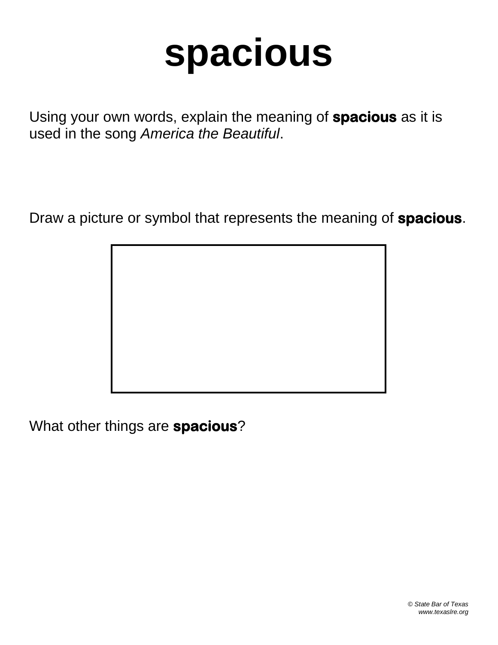## **spacious**

Using your own words, explain the meaning of **spacious** as it is used in the song *America the Beautiful*.

Draw a picture or symbol that represents the meaning of **spacious**.

What other things are **spacious**?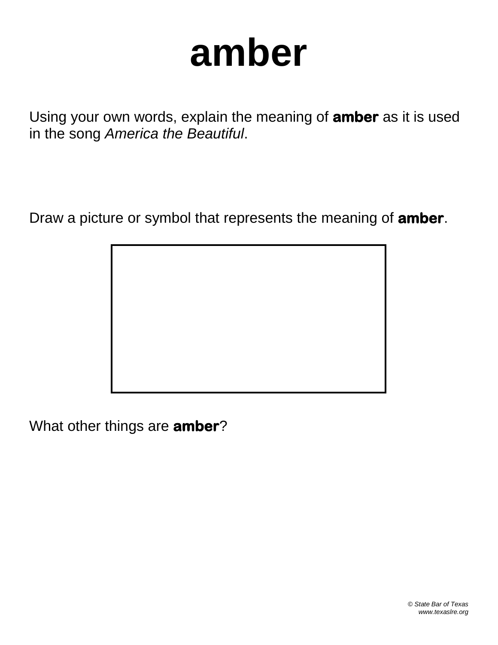### **amber**

Using your own words, explain the meaning of **amber** as it is used in the song *America the Beautiful*.

Draw a picture or symbol that represents the meaning of **amber**.

What other things are **amber**?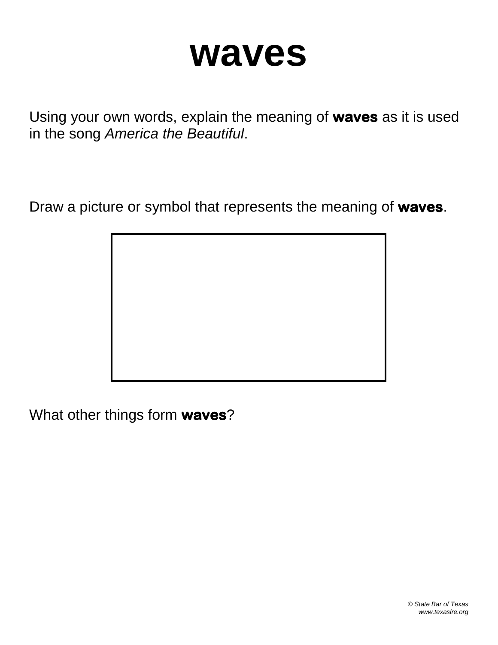### **waves**

Using your own words, explain the meaning of **waves** as it is used in the song *America the Beautiful*.

Draw a picture or symbol that represents the meaning of **waves**.

What other things form **waves**?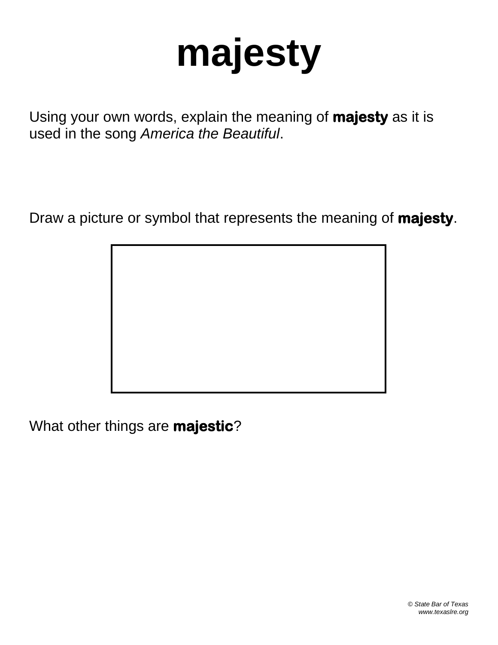# **majesty**

Using your own words, explain the meaning of **majesty** as it is used in the song *America the Beautiful*.

Draw a picture or symbol that represents the meaning of **majesty**.

What other things are **majestic**?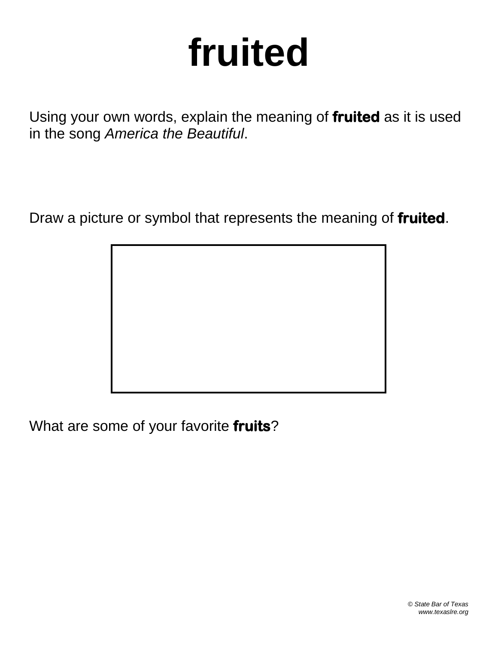# **fruited**

Using your own words, explain the meaning of **fruited** as it is used in the song *America the Beautiful*.

Draw a picture or symbol that represents the meaning of **fruited**.

What are some of your favorite **fruits**?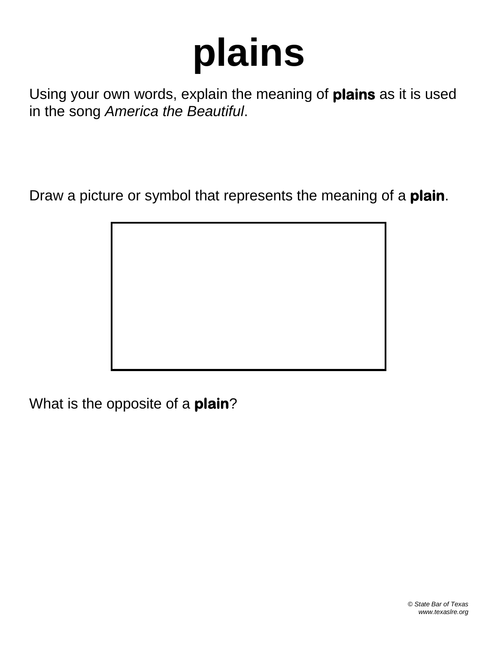# **plains**

Using your own words, explain the meaning of **plains** as it is used in the song *America the Beautiful*.

Draw a picture or symbol that represents the meaning of a **plain**.

What is the opposite of a **plain**?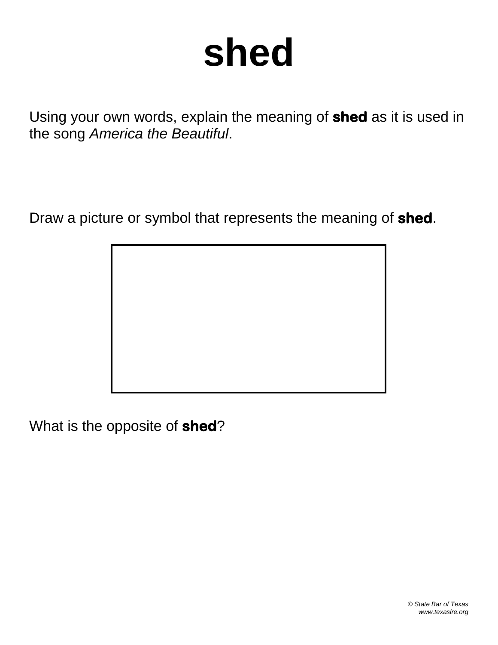## **shed**

Using your own words, explain the meaning of **shed** as it is used in the song *America the Beautiful*.

Draw a picture or symbol that represents the meaning of **shed**.

What is the opposite of **shed**?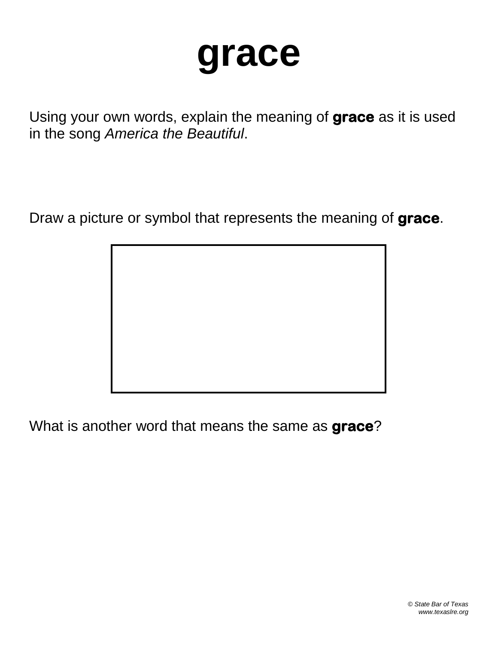### **grace**

Using your own words, explain the meaning of **grace** as it is used in the song *America the Beautiful*.

Draw a picture or symbol that represents the meaning of **grace**.

What is another word that means the same as **grace**?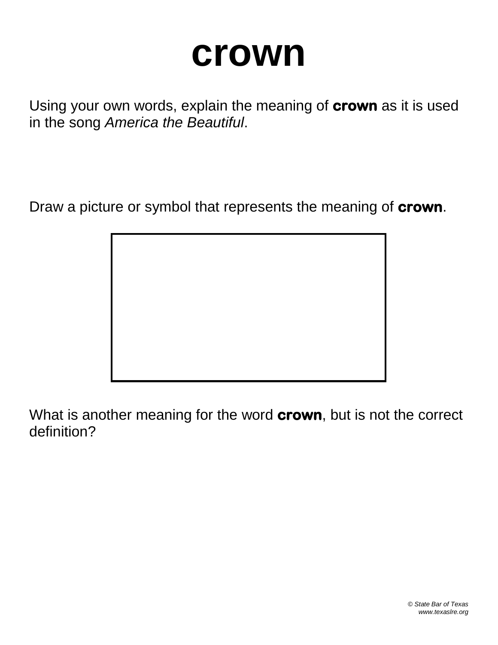### **crown**

Using your own words, explain the meaning of **crown** as it is used in the song *America the Beautiful*.

Draw a picture or symbol that represents the meaning of **crown**.



What is another meaning for the word **crown**, but is not the correct definition?